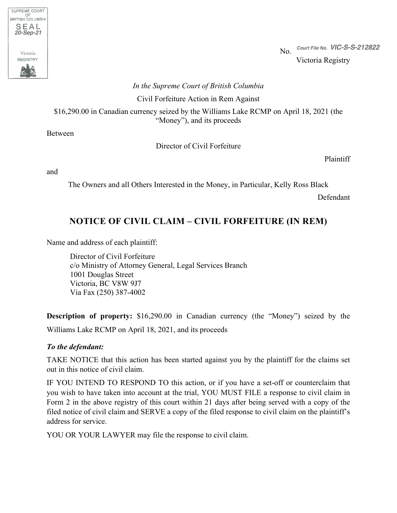

No. *Court File No. VIC-S-S-212822*Victoria Registry

### *In the Supreme Court of British Columbia*

Civil Forfeiture Action in Rem Against

\$16,290.00 in Canadian currency seized by the Williams Lake RCMP on April 18, 2021 (the "Money"), and its proceeds

Between

Director of Civil Forfeiture

Plaintiff

and

The Owners and all Others Interested in the Money, in Particular, Kelly Ross Black

Defendant

# **NOTICE OF CIVIL CLAIM – CIVIL FORFEITURE (IN REM)**

Name and address of each plaintiff:

Director of Civil Forfeiture c/o Ministry of Attorney General, Legal Services Branch 1001 Douglas Street Victoria, BC V8W 9J7 Via Fax (250) 387-4002

**Description of property:** \$16,290.00 in Canadian currency (the "Money") seized by the Williams Lake RCMP on April 18, 2021, and its proceeds

### *To the defendant:*

TAKE NOTICE that this action has been started against you by the plaintiff for the claims set out in this notice of civil claim.

IF YOU INTEND TO RESPOND TO this action, or if you have a set-off or counterclaim that you wish to have taken into account at the trial, YOU MUST FILE a response to civil claim in Form 2 in the above registry of this court within 21 days after being served with a copy of the filed notice of civil claim and SERVE a copy of the filed response to civil claim on the plaintiff's address for service.

YOU OR YOUR LAWYER may file the response to civil claim.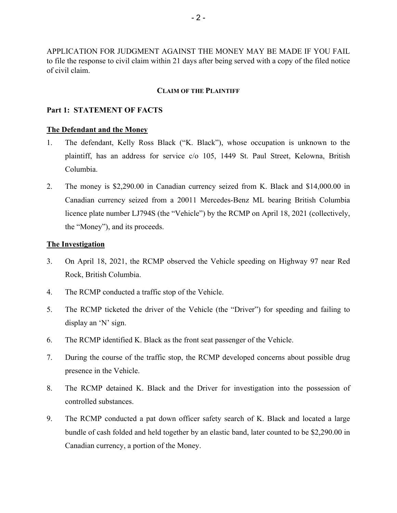APPLICATION FOR JUDGMENT AGAINST THE MONEY MAY BE MADE IF YOU FAIL to file the response to civil claim within 21 days after being served with a copy of the filed notice of civil claim.

#### **CLAIM OF THE PLAINTIFF**

#### **Part 1: STATEMENT OF FACTS**

#### **The Defendant and the Money**

- 1. The defendant, Kelly Ross Black ("K. Black"), whose occupation is unknown to the plaintiff, has an address for service c/o 105, 1449 St. Paul Street, Kelowna, British Columbia.
- 2. The money is \$2,290.00 in Canadian currency seized from K. Black and \$14,000.00 in Canadian currency seized from a 20011 Mercedes-Benz ML bearing British Columbia licence plate number LJ794S (the "Vehicle") by the RCMP on April 18, 2021 (collectively, the "Money"), and its proceeds.

#### **The Investigation**

- 3. On April 18, 2021, the RCMP observed the Vehicle speeding on Highway 97 near Red Rock, British Columbia.
- 4. The RCMP conducted a traffic stop of the Vehicle.
- 5. The RCMP ticketed the driver of the Vehicle (the "Driver") for speeding and failing to display an 'N' sign.
- 6. The RCMP identified K. Black as the front seat passenger of the Vehicle.
- 7. During the course of the traffic stop, the RCMP developed concerns about possible drug presence in the Vehicle.
- 8. The RCMP detained K. Black and the Driver for investigation into the possession of controlled substances.
- 9. The RCMP conducted a pat down officer safety search of K. Black and located a large bundle of cash folded and held together by an elastic band, later counted to be \$2,290.00 in Canadian currency, a portion of the Money.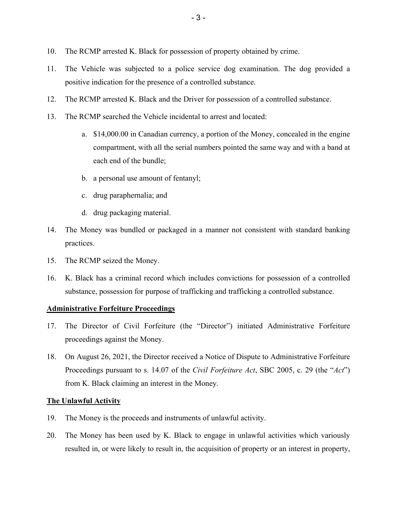- 10. The RCMP arrested K. Black for possession of property obtained by crime.
- 11. The Vehicle was subjected to a police service dog examination. The dog provided a positive indication for the presence of a controlled substance.
- 12. The RCMP arrested K. Black and the Driver for possession of a controlled substance.
- 13. The RCMP searched the Vehicle incidental to arrest and located:
	- a. \$14,000.00 in Canadian currency, a portion of the Money, concealed in the engine compartment, with all the serial numbers pointed the same way and with a band at each end of the bundle;
	- b. a personal use amount of fentanyl;
	- c. drug paraphernalia; and
	- d. drug packaging material.
- 14. The Money was bundled or packaged in a manner not consistent with standard banking practices.
- 15. The RCMP seized the Money.
- 16. K. Black has a criminal record which includes convictions for possession of a controlled substance, possession for purpose of trafficking and trafficking a controlled substance.

### **Administrative Forfeiture Proceedings**

- 17. The Director of Civil Forfeiture (the "Director") initiated Administrative Forfeiture proceedings against the Money.
- 18. On August 26, 2021, the Director received a Notice of Dispute to Administrative Forfeiture Proceedings pursuant to s. 14.07 of the *Civil Forfeiture Act*, SBC 2005, c. 29 (the "*Act*") from K. Black claiming an interest in the Money.

### **The Unlawful Activity**

- 19. The Money is the proceeds and instruments of unlawful activity.
- 20. The Money has been used by K. Black to engage in unlawful activities which variously resulted in, or were likely to result in, the acquisition of property or an interest in property,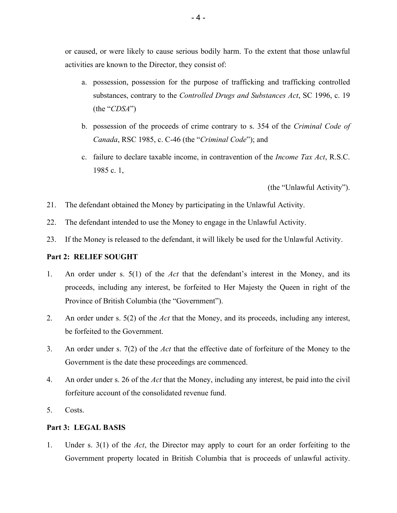or caused, or were likely to cause serious bodily harm. To the extent that those unlawful activities are known to the Director, they consist of:

- a. possession, possession for the purpose of trafficking and trafficking controlled substances, contrary to the *Controlled Drugs and Substances Act*, SC 1996, c. 19 (the "*CDSA*")
- b. possession of the proceeds of crime contrary to s. 354 of the *Criminal Code of Canada*, RSC 1985, c. C-46 (the "*Criminal Code*"); and
- c. failure to declare taxable income, in contravention of the *Income Tax Act*, R.S.C. 1985 c. 1,

(the "Unlawful Activity").

- 21. The defendant obtained the Money by participating in the Unlawful Activity.
- 22. The defendant intended to use the Money to engage in the Unlawful Activity.
- 23. If the Money is released to the defendant, it will likely be used for the Unlawful Activity.

#### **Part 2: RELIEF SOUGHT**

- 1. An order under s. 5(1) of the *Act* that the defendant's interest in the Money, and its proceeds, including any interest, be forfeited to Her Majesty the Queen in right of the Province of British Columbia (the "Government").
- 2. An order under s. 5(2) of the *Act* that the Money, and its proceeds, including any interest, be forfeited to the Government.
- 3. An order under s. 7(2) of the *Act* that the effective date of forfeiture of the Money to the Government is the date these proceedings are commenced.
- 4. An order under s. 26 of the *Act* that the Money, including any interest, be paid into the civil forfeiture account of the consolidated revenue fund.
- 5. Costs.

### **Part 3: LEGAL BASIS**

1. Under s. 3(1) of the *Act*, the Director may apply to court for an order forfeiting to the Government property located in British Columbia that is proceeds of unlawful activity.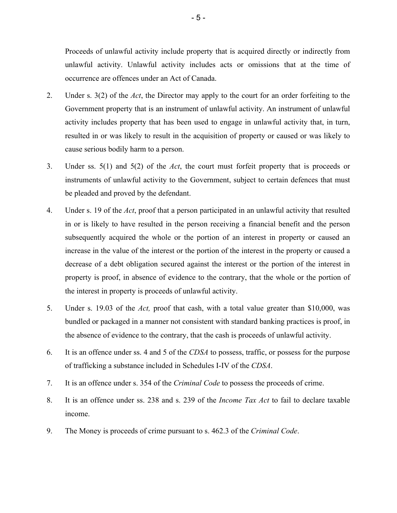Proceeds of unlawful activity include property that is acquired directly or indirectly from unlawful activity. Unlawful activity includes acts or omissions that at the time of occurrence are offences under an Act of Canada.

- 2. Under s. 3(2) of the *Act*, the Director may apply to the court for an order forfeiting to the Government property that is an instrument of unlawful activity. An instrument of unlawful activity includes property that has been used to engage in unlawful activity that, in turn, resulted in or was likely to result in the acquisition of property or caused or was likely to cause serious bodily harm to a person.
- 3. Under ss. 5(1) and 5(2) of the *Act*, the court must forfeit property that is proceeds or instruments of unlawful activity to the Government, subject to certain defences that must be pleaded and proved by the defendant.
- 4. Under s. 19 of the *Act*, proof that a person participated in an unlawful activity that resulted in or is likely to have resulted in the person receiving a financial benefit and the person subsequently acquired the whole or the portion of an interest in property or caused an increase in the value of the interest or the portion of the interest in the property or caused a decrease of a debt obligation secured against the interest or the portion of the interest in property is proof, in absence of evidence to the contrary, that the whole or the portion of the interest in property is proceeds of unlawful activity.
- 5. Under s. 19.03 of the *Act,* proof that cash, with a total value greater than \$10,000, was bundled or packaged in a manner not consistent with standard banking practices is proof, in the absence of evidence to the contrary, that the cash is proceeds of unlawful activity.
- 6. It is an offence under ss. 4 and 5 of the *CDSA* to possess, traffic, or possess for the purpose of trafficking a substance included in Schedules I-IV of the *CDSA*.
- 7. It is an offence under s. 354 of the *Criminal Code* to possess the proceeds of crime.
- 8. It is an offence under ss. 238 and s. 239 of the *Income Tax Act* to fail to declare taxable income.
- 9. The Money is proceeds of crime pursuant to s. 462.3 of the *Criminal Code*.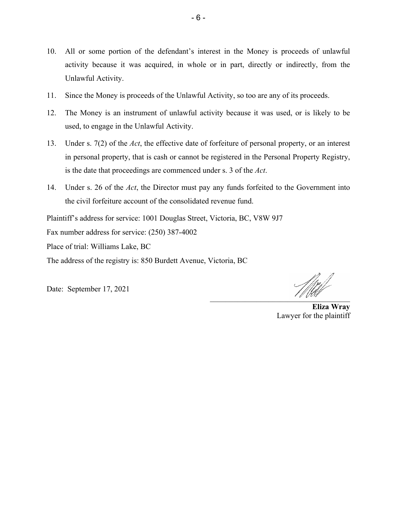- 10. All or some portion of the defendant's interest in the Money is proceeds of unlawful activity because it was acquired, in whole or in part, directly or indirectly, from the Unlawful Activity.
- 11. Since the Money is proceeds of the Unlawful Activity, so too are any of its proceeds.
- 12. The Money is an instrument of unlawful activity because it was used, or is likely to be used, to engage in the Unlawful Activity.
- 13. Under s. 7(2) of the *Act*, the effective date of forfeiture of personal property, or an interest in personal property, that is cash or cannot be registered in the Personal Property Registry, is the date that proceedings are commenced under s. 3 of the *Act*.
- 14. Under s. 26 of the *Act*, the Director must pay any funds forfeited to the Government into the civil forfeiture account of the consolidated revenue fund.

Plaintiff's address for service: 1001 Douglas Street, Victoria, BC, V8W 9J7

Fax number address for service: (250) 387-4002

Place of trial: Williams Lake, BC

The address of the registry is: 850 Burdett Avenue, Victoria, BC

Date: September 17, 2021

 $\mathcal{L} \mathcal{L}$ 

**Eliza Wray** Lawyer for the plaintiff